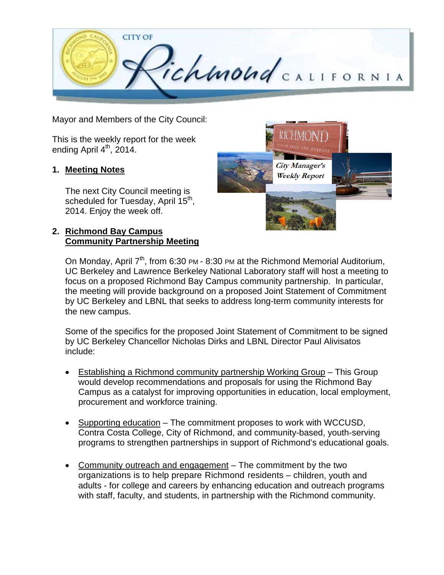

Mayor and Members of the City Council:

This is the weekly report for the week ending April  $4<sup>th</sup>$ , 2014.

#### **1. Meeting Notes**

The next City Council meeting is scheduled for Tuesday, April 15<sup>th</sup>, 2014. Enjoy the week off.

## **2. Richmond Bay Campus Community Partnership Meeting**



On Monday, April 7<sup>th</sup>, from 6:30 PM - 8:30 PM at the Richmond Memorial Auditorium, UC Berkeley and Lawrence Berkeley National Laboratory staff will host a meeting to focus on a proposed Richmond Bay Campus community partnership. In particular, the meeting will provide background on a proposed Joint Statement of Commitment by UC Berkeley and LBNL that seeks to address long-term community interests for the new campus.

Some of the specifics for the proposed Joint Statement of Commitment to be signed by UC Berkeley Chancellor Nicholas Dirks and LBNL Director Paul Alivisatos include:

- Establishing a Richmond community partnership Working Group This Group would develop recommendations and proposals for using the Richmond Bay Campus as a catalyst for improving opportunities in education, local employment, procurement and workforce training.
- Supporting education The commitment proposes to work with WCCUSD, Contra Costa College, City of Richmond, and community-based, youth-serving programs to strengthen partnerships in support of Richmond's educational goals.
- Community outreach and engagement The commitment by the two organizations is to help prepare Richmond residents – children, youth and adults - for college and careers by enhancing education and outreach programs with staff, faculty, and students, in partnership with the Richmond community.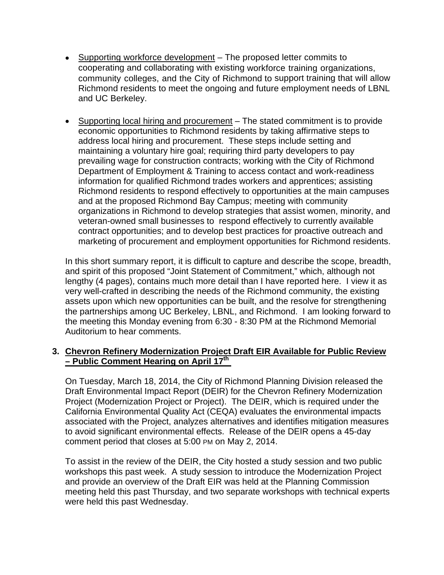- Supporting workforce development The proposed letter commits to cooperating and collaborating with existing workforce training organizations, community colleges, and the City of Richmond to support training that will allow Richmond residents to meet the ongoing and future employment needs of LBNL and UC Berkeley.
- Supporting local hiring and procurement The stated commitment is to provide economic opportunities to Richmond residents by taking affirmative steps to address local hiring and procurement. These steps include setting and maintaining a voluntary hire goal; requiring third party developers to pay prevailing wage for construction contracts; working with the City of Richmond Department of Employment & Training to access contact and work-readiness information for qualified Richmond trades workers and apprentices; assisting Richmond residents to respond effectively to opportunities at the main campuses and at the proposed Richmond Bay Campus; meeting with community organizations in Richmond to develop strategies that assist women, minority, and veteran-owned small businesses to respond effectively to currently available contract opportunities; and to develop best practices for proactive outreach and marketing of procurement and employment opportunities for Richmond residents.

In this short summary report, it is difficult to capture and describe the scope, breadth, and spirit of this proposed "Joint Statement of Commitment," which, although not lengthy (4 pages), contains much more detail than I have reported here. I view it as very well-crafted in describing the needs of the Richmond community, the existing assets upon which new opportunities can be built, and the resolve for strengthening the partnerships among UC Berkeley, LBNL, and Richmond. I am looking forward to the meeting this Monday evening from 6:30 - 8:30 PM at the Richmond Memorial Auditorium to hear comments.

#### **3. Chevron Refinery Modernization Project Draft EIR Available for Public Review – Public Comment Hearing on April 17th**

On Tuesday, March 18, 2014, the City of Richmond Planning Division released the Draft Environmental Impact Report (DEIR) for the Chevron Refinery Modernization Project (Modernization Project or Project). The DEIR, which is required under the California Environmental Quality Act (CEQA) evaluates the environmental impacts associated with the Project, analyzes alternatives and identifies mitigation measures to avoid significant environmental effects. Release of the DEIR opens a 45-day comment period that closes at 5:00 PM on May 2, 2014.

To assist in the review of the DEIR, the City hosted a study session and two public workshops this past week. A study session to introduce the Modernization Project and provide an overview of the Draft EIR was held at the Planning Commission meeting held this past Thursday, and two separate workshops with technical experts were held this past Wednesday.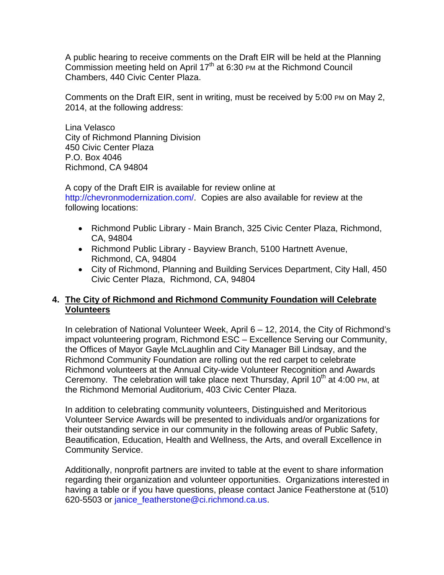A public hearing to receive comments on the Draft EIR will be held at the Planning Commission meeting held on April  $17<sup>th</sup>$  at 6:30 PM at the Richmond Council Chambers, 440 Civic Center Plaza.

Comments on the Draft EIR, sent in writing, must be received by 5:00 PM on May 2, 2014, at the following address:

Lina Velasco City of Richmond Planning Division 450 Civic Center Plaza P.O. Box 4046 Richmond, CA 94804

A copy of the Draft EIR is available for review online at http://chevronmodernization.com/. Copies are also available for review at the following locations:

- Richmond Public Library Main Branch, 325 Civic Center Plaza, Richmond, CA, 94804
- Richmond Public Library Bayview Branch, 5100 Hartnett Avenue, Richmond, CA, 94804
- City of Richmond, Planning and Building Services Department, City Hall, 450 Civic Center Plaza, Richmond, CA, 94804

## **4. The City of Richmond and Richmond Community Foundation will Celebrate Volunteers**

In celebration of National Volunteer Week, April 6 – 12, 2014, the City of Richmond's impact volunteering program, Richmond ESC – Excellence Serving our Community, the Offices of Mayor Gayle McLaughlin and City Manager Bill Lindsay, and the Richmond Community Foundation are rolling out the red carpet to celebrate Richmond volunteers at the Annual City-wide Volunteer Recognition and Awards Ceremony. The celebration will take place next Thursday, April 10<sup>th</sup> at 4:00 PM, at the Richmond Memorial Auditorium, 403 Civic Center Plaza.

In addition to celebrating community volunteers, Distinguished and Meritorious Volunteer Service Awards will be presented to individuals and/or organizations for their outstanding service in our community in the following areas of Public Safety, Beautification, Education, Health and Wellness, the Arts, and overall Excellence in Community Service.

Additionally, nonprofit partners are invited to table at the event to share information regarding their organization and volunteer opportunities. Organizations interested in having a table or if you have questions, please contact Janice Featherstone at (510) 620-5503 or janice\_featherstone@ci.richmond.ca.us.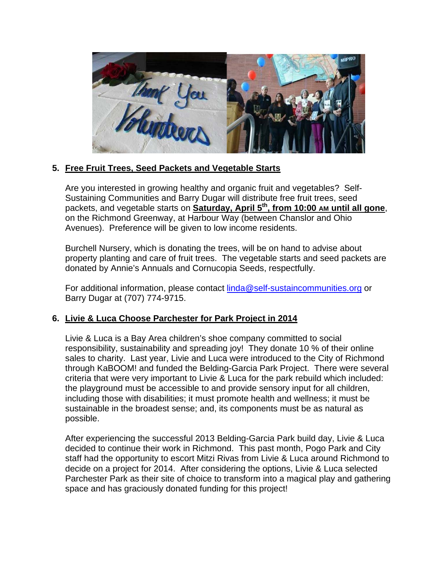

# **5. Free Fruit Trees, Seed Packets and Vegetable Starts**

Are you interested in growing healthy and organic fruit and vegetables? Self-Sustaining Communities and Barry Dugar will distribute free fruit trees, seed packets, and vegetable starts on **Saturday, April 5th, from 10:00 AM until all gone**, on the Richmond Greenway, at Harbour Way (between Chanslor and Ohio Avenues). Preference will be given to low income residents.

Burchell Nursery, which is donating the trees, will be on hand to advise about property planting and care of fruit trees. The vegetable starts and seed packets are donated by Annie's Annuals and Cornucopia Seeds, respectfully.

For additional information, please contact linda@self-sustaincommunities.org or Barry Dugar at (707) 774-9715.

## **6. Livie & Luca Choose Parchester for Park Project in 2014**

Livie & Luca is a Bay Area children's shoe company committed to social responsibility, sustainability and spreading joy! They donate 10 % of their online sales to charity. Last year, Livie and Luca were introduced to the City of Richmond through KaBOOM! and funded the Belding-Garcia Park Project. There were several criteria that were very important to Livie & Luca for the park rebuild which included: the playground must be accessible to and provide sensory input for all children, including those with disabilities; it must promote health and wellness; it must be sustainable in the broadest sense; and, its components must be as natural as possible.

After experiencing the successful 2013 Belding-Garcia Park build day, Livie & Luca decided to continue their work in Richmond. This past month, Pogo Park and City staff had the opportunity to escort Mitzi Rivas from Livie & Luca around Richmond to decide on a project for 2014. After considering the options, Livie & Luca selected Parchester Park as their site of choice to transform into a magical play and gathering space and has graciously donated funding for this project!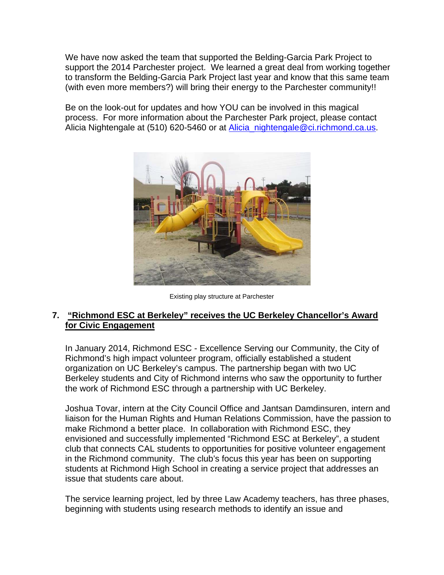We have now asked the team that supported the Belding-Garcia Park Project to support the 2014 Parchester project. We learned a great deal from working together to transform the Belding-Garcia Park Project last year and know that this same team (with even more members?) will bring their energy to the Parchester community!!

Be on the look-out for updates and how YOU can be involved in this magical process. For more information about the Parchester Park project, please contact Alicia Nightengale at (510) 620-5460 or at Alicia\_nightengale@ci.richmond.ca.us.



Existing play structure at Parchester

## **7. "Richmond ESC at Berkeley" receives the UC Berkeley Chancellor's Award for Civic Engagement**

In January 2014, Richmond ESC - Excellence Serving our Community, the City of Richmond's high impact volunteer program, officially established a student organization on UC Berkeley's campus. The partnership began with two UC Berkeley students and City of Richmond interns who saw the opportunity to further the work of Richmond ESC through a partnership with UC Berkeley.

Joshua Tovar, intern at the City Council Office and Jantsan Damdinsuren, intern and liaison for the Human Rights and Human Relations Commission, have the passion to make Richmond a better place. In collaboration with Richmond ESC, they envisioned and successfully implemented "Richmond ESC at Berkeley", a student club that connects CAL students to opportunities for positive volunteer engagement in the Richmond community. The club's focus this year has been on supporting students at Richmond High School in creating a service project that addresses an issue that students care about.

The service learning project, led by three Law Academy teachers, has three phases, beginning with students using research methods to identify an issue and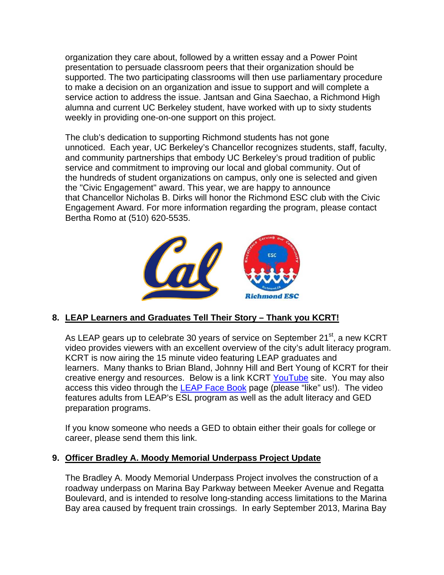organization they care about, followed by a written essay and a Power Point presentation to persuade classroom peers that their organization should be supported. The two participating classrooms will then use parliamentary procedure to make a decision on an organization and issue to support and will complete a service action to address the issue. Jantsan and Gina Saechao, a Richmond High alumna and current UC Berkeley student, have worked with up to sixty students weekly in providing one-on-one support on this project.

The club's dedication to supporting Richmond students has not gone unnoticed. Each year, UC Berkeley's Chancellor recognizes students, staff, faculty, and community partnerships that embody UC Berkeley's proud tradition of public service and commitment to improving our local and global community. Out of the hundreds of student organizations on campus, only one is selected and given the "Civic Engagement" award. This year, we are happy to announce that Chancellor Nicholas B. Dirks will honor the Richmond ESC club with the Civic Engagement Award. For more information regarding the program, please contact Bertha Romo at (510) 620-5535.



## **8. LEAP Learners and Graduates Tell Their Story – Thank you KCRT!**

As LEAP gears up to celebrate 30 years of service on September 21 $^{\text{st}}$ , a new KCRT video provides viewers with an excellent overview of the city's adult literacy program. KCRT is now airing the 15 minute video featuring LEAP graduates and learners. Many thanks to Brian Bland, Johnny Hill and Bert Young of KCRT for their creative energy and resources. Below is a link KCRT YouTube site. You may also access this video through the LEAP Face Book page (please "like" us!). The video features adults from LEAP's ESL program as well as the adult literacy and GED preparation programs.

If you know someone who needs a GED to obtain either their goals for college or career, please send them this link.

#### **9. Officer Bradley A. Moody Memorial Underpass Project Update**

The Bradley A. Moody Memorial Underpass Project involves the construction of a roadway underpass on Marina Bay Parkway between Meeker Avenue and Regatta Boulevard, and is intended to resolve long-standing access limitations to the Marina Bay area caused by frequent train crossings. In early September 2013, Marina Bay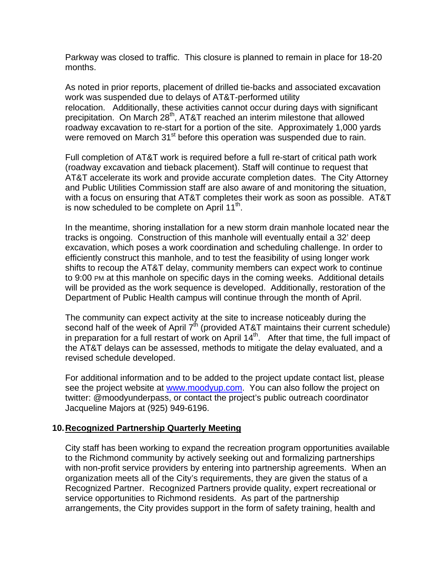Parkway was closed to traffic. This closure is planned to remain in place for 18-20 months.

As noted in prior reports, placement of drilled tie-backs and associated excavation work was suspended due to delays of AT&T-performed utility relocation. Additionally, these activities cannot occur during days with significant precipitation. On March 28<sup>th</sup>, AT&T reached an interim milestone that allowed roadway excavation to re-start for a portion of the site. Approximately 1,000 yards were removed on March 31<sup>st</sup> before this operation was suspended due to rain.

Full completion of AT&T work is required before a full re-start of critical path work (roadway excavation and tieback placement). Staff will continue to request that AT&T accelerate its work and provide accurate completion dates. The City Attorney and Public Utilities Commission staff are also aware of and monitoring the situation, with a focus on ensuring that AT&T completes their work as soon as possible. AT&T is now scheduled to be complete on April 11<sup>th</sup>.

In the meantime, shoring installation for a new storm drain manhole located near the tracks is ongoing. Construction of this manhole will eventually entail a 32' deep excavation, which poses a work coordination and scheduling challenge. In order to efficiently construct this manhole, and to test the feasibility of using longer work shifts to recoup the AT&T delay, community members can expect work to continue to 9:00 PM at this manhole on specific days in the coming weeks. Additional details will be provided as the work sequence is developed. Additionally, restoration of the Department of Public Health campus will continue through the month of April.

The community can expect activity at the site to increase noticeably during the second half of the week of April  $7<sup>th</sup>$  (provided AT&T maintains their current schedule) in preparation for a full restart of work on April  $14<sup>th</sup>$ . After that time, the full impact of the AT&T delays can be assessed, methods to mitigate the delay evaluated, and a revised schedule developed.

For additional information and to be added to the project update contact list, please see the project website at www.moodyup.com. You can also follow the project on twitter: @moodyunderpass, or contact the project's public outreach coordinator Jacqueline Majors at (925) 949-6196.

#### **10. Recognized Partnership Quarterly Meeting**

City staff has been working to expand the recreation program opportunities available to the Richmond community by actively seeking out and formalizing partnerships with non-profit service providers by entering into partnership agreements. When an organization meets all of the City's requirements, they are given the status of a Recognized Partner. Recognized Partners provide quality, expert recreational or service opportunities to Richmond residents. As part of the partnership arrangements, the City provides support in the form of safety training, health and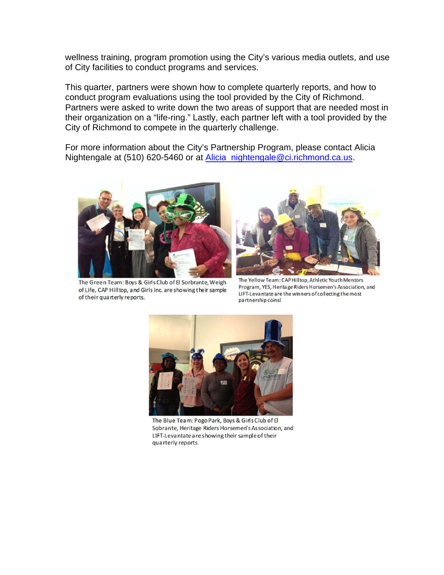wellness training, program promotion using the City's various media outlets, and use of City facilities to conduct programs and services.

This quarter, partners were shown how to complete quarterly reports, and how to conduct program evaluations using the tool provided by the City of Richmond. Partners were asked to write down the two areas of support that are needed most in their organization on a "life-ring." Lastly, each partner left with a tool provided by the City of Richmond to compete in the quarterly challenge.

For more information about the City's Partnership Program, please contact Alicia Nightengale at (510) 620-5460 or at Alicia\_nightengale@ci.richmond.ca.us.



The Green Team: Boys & Girls Club of El Sorbrante, Weigh of Life, CAP Hilltop, and Girls Inc. are showing their sample of their quarterly reports.



The Yellow Team: CAP Hilltop, Athletic Youth Mentors Program, YES, Heritage Riders Horsemen's Association, and LIFT-Levantate are the winners of collecting the most partnership coins!



The Blue Team: Pogo Park, Boys & Girls Club of El Sobrante, Heritage Riders Horsemen's Association, and LIFT-Levantate are showing their sample of their quarterly reports.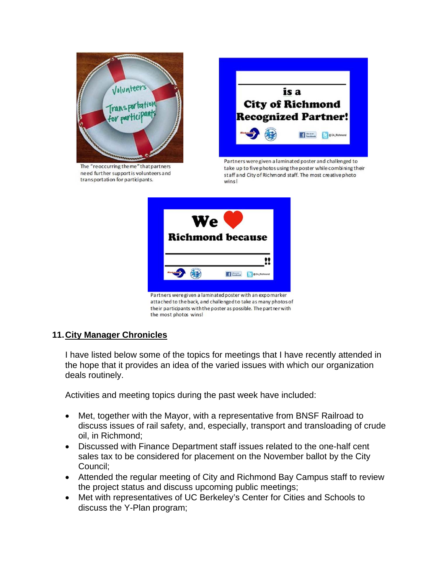

The "reoccurring theme" that partners need further support is volunteers and transportation for participants.



Partners were given a laminated poster and challenged to take up to five photos using the poster while combining their staff and City of Richmond staff. The most creative photo wins!



their participants with the poster as possible. The part ner with the most photos wins!

## **11. City Manager Chronicles**

I have listed below some of the topics for meetings that I have recently attended in the hope that it provides an idea of the varied issues with which our organization deals routinely.

Activities and meeting topics during the past week have included:

- Met, together with the Mayor, with a representative from BNSF Railroad to discuss issues of rail safety, and, especially, transport and transloading of crude oil, in Richmond;
- Discussed with Finance Department staff issues related to the one-half cent sales tax to be considered for placement on the November ballot by the City Council;
- Attended the regular meeting of City and Richmond Bay Campus staff to review the project status and discuss upcoming public meetings;
- Met with representatives of UC Berkeley's Center for Cities and Schools to discuss the Y-Plan program;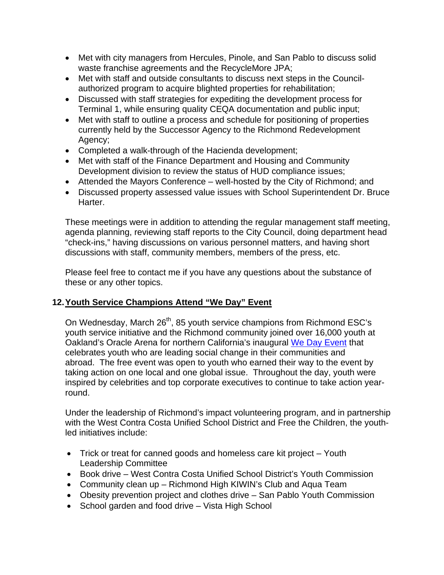- Met with city managers from Hercules, Pinole, and San Pablo to discuss solid waste franchise agreements and the RecycleMore JPA;
- Met with staff and outside consultants to discuss next steps in the Councilauthorized program to acquire blighted properties for rehabilitation;
- Discussed with staff strategies for expediting the development process for Terminal 1, while ensuring quality CEQA documentation and public input;
- Met with staff to outline a process and schedule for positioning of properties currently held by the Successor Agency to the Richmond Redevelopment Agency;
- Completed a walk-through of the Hacienda development;
- Met with staff of the Finance Department and Housing and Community Development division to review the status of HUD compliance issues;
- Attended the Mayors Conference well-hosted by the City of Richmond; and
- Discussed property assessed value issues with School Superintendent Dr. Bruce Harter.

These meetings were in addition to attending the regular management staff meeting, agenda planning, reviewing staff reports to the City Council, doing department head "check-ins," having discussions on various personnel matters, and having short discussions with staff, community members, members of the press, etc.

Please feel free to contact me if you have any questions about the substance of these or any other topics.

# **12. Youth Service Champions Attend "We Day" Event**

On Wednesday, March 26<sup>th</sup>, 85 youth service champions from Richmond ESC's youth service initiative and the Richmond community joined over 16,000 youth at Oakland's Oracle Arena for northern California's inaugural We Day Event that celebrates youth who are leading social change in their communities and abroad. The free event was open to youth who earned their way to the event by taking action on one local and one global issue. Throughout the day, youth were inspired by celebrities and top corporate executives to continue to take action yearround.

Under the leadership of Richmond's impact volunteering program, and in partnership with the West Contra Costa Unified School District and Free the Children, the youthled initiatives include:

- Trick or treat for canned goods and homeless care kit project Youth Leadership Committee
- Book drive West Contra Costa Unified School District's Youth Commission
- Community clean up Richmond High KIWIN's Club and Aqua Team
- Obesity prevention project and clothes drive San Pablo Youth Commission
- School garden and food drive Vista High School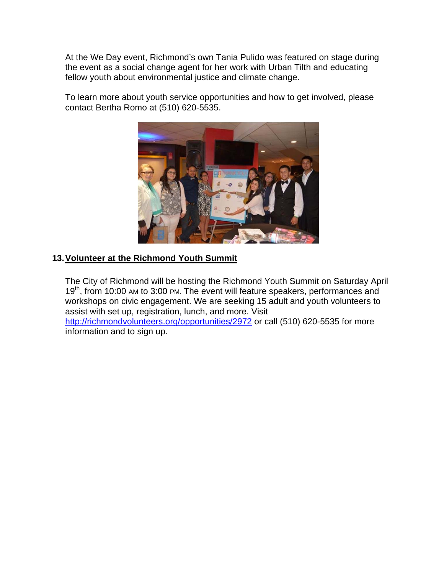At the We Day event, Richmond's own Tania Pulido was featured on stage during the event as a social change agent for her work with Urban Tilth and educating fellow youth about environmental justice and climate change.

To learn more about youth service opportunities and how to get involved, please contact Bertha Romo at (510) 620-5535.



## **13. Volunteer at the Richmond Youth Summit**

The City of Richmond will be hosting the Richmond Youth Summit on Saturday April 19<sup>th</sup>, from 10:00 AM to 3:00 PM. The event will feature speakers, performances and workshops on civic engagement. We are seeking 15 adult and youth volunteers to assist with set up, registration, lunch, and more. Visit http://richmondvolunteers.org/opportunities/2972 or call (510) 620-5535 for more information and to sign up.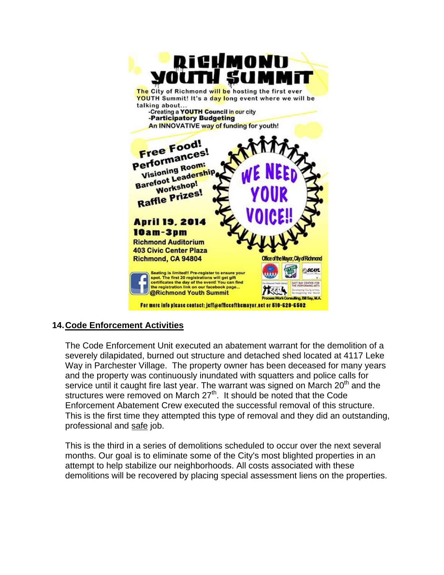

## **14. Code Enforcement Activities**

The Code Enforcement Unit executed an abatement warrant for the demolition of a severely dilapidated, burned out structure and detached shed located at 4117 Leke Way in Parchester Village. The property owner has been deceased for many years and the property was continuously inundated with squatters and police calls for service until it caught fire last year. The warrant was signed on March 20<sup>th</sup> and the structures were removed on March  $27<sup>th</sup>$ . It should be noted that the Code Enforcement Abatement Crew executed the successful removal of this structure. This is the first time they attempted this type of removal and they did an outstanding, professional and safe job.

This is the third in a series of demolitions scheduled to occur over the next several months. Our goal is to eliminate some of the City's most blighted properties in an attempt to help stabilize our neighborhoods. All costs associated with these demolitions will be recovered by placing special assessment liens on the properties.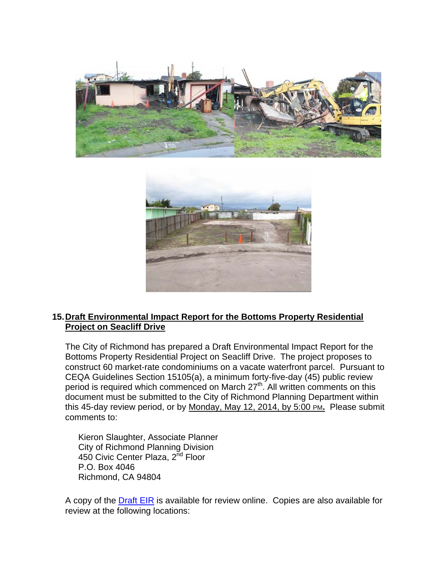



## **15. Draft Environmental Impact Report for the Bottoms Property Residential Project on Seacliff Drive**

The City of Richmond has prepared a Draft Environmental Impact Report for the Bottoms Property Residential Project on Seacliff Drive. The project proposes to construct 60 market‐rate condominiums on a vacate waterfront parcel. Pursuant to CEQA Guidelines Section 15105(a), a minimum forty-five-day (45) public review period is required which commenced on March 27<sup>th</sup>. All written comments on this document must be submitted to the City of Richmond Planning Department within this 45-day review period, or by Monday, May 12, 2014, by 5:00 PM**.** Please submit comments to:

Kieron Slaughter, Associate Planner City of Richmond Planning Division 450 Civic Center Plaza, 2<sup>nd</sup> Floor P.O. Box 4046 Richmond, CA 94804

A copy of the Draft EIR is available for review online. Copies are also available for review at the following locations: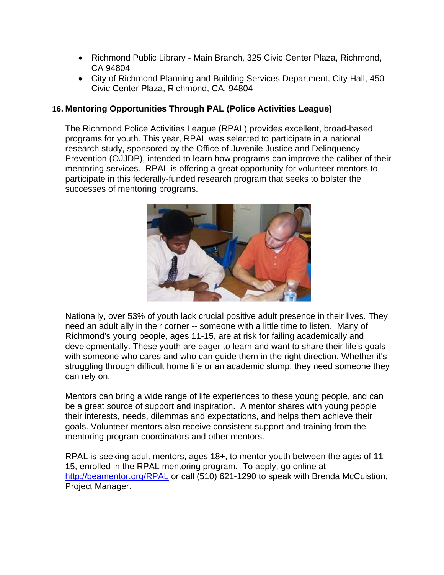- Richmond Public Library Main Branch, 325 Civic Center Plaza, Richmond, CA 94804
- City of Richmond Planning and Building Services Department, City Hall, 450 Civic Center Plaza, Richmond, CA, 94804

#### **16. Mentoring Opportunities Through PAL (Police Activities League)**

The Richmond Police Activities League (RPAL) provides excellent, broad-based programs for youth. This year, RPAL was selected to participate in a national research study, sponsored by the Office of Juvenile Justice and Delinquency Prevention (OJJDP), intended to learn how programs can improve the caliber of their mentoring services. RPAL is offering a great opportunity for volunteer mentors to participate in this federally-funded research program that seeks to bolster the successes of mentoring programs.



Nationally, over 53% of youth lack crucial positive adult presence in their lives. They need an adult ally in their corner -- someone with a little time to listen. Many of Richmond's young people, ages 11-15, are at risk for failing academically and developmentally. These youth are eager to learn and want to share their life's goals with someone who cares and who can guide them in the right direction. Whether it's struggling through difficult home life or an academic slump, they need someone they can rely on.

Mentors can bring a wide range of life experiences to these young people, and can be a great source of support and inspiration. A mentor shares with young people their interests, needs, dilemmas and expectations, and helps them achieve their goals. Volunteer mentors also receive consistent support and training from the mentoring program coordinators and other mentors.

RPAL is seeking adult mentors, ages 18+, to mentor youth between the ages of 11- 15, enrolled in the RPAL mentoring program. To apply, go online at http://beamentor.org/RPAL or call (510) 621-1290 to speak with Brenda McCuistion, Project Manager.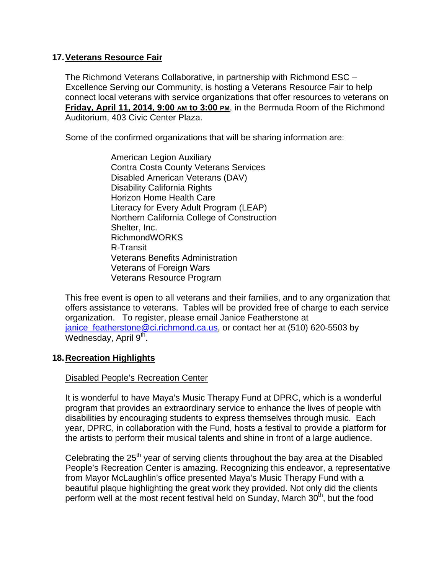#### **17. Veterans Resource Fair**

The Richmond Veterans Collaborative, in partnership with Richmond ESC – Excellence Serving our Community, is hosting a Veterans Resource Fair to help connect local veterans with service organizations that offer resources to veterans on **Friday, April 11, 2014, 9:00 AM to 3:00 PM**, in the Bermuda Room of the Richmond Auditorium, 403 Civic Center Plaza.

Some of the confirmed organizations that will be sharing information are:

American Legion Auxiliary Contra Costa County Veterans Services Disabled American Veterans (DAV) Disability California Rights Horizon Home Health Care Literacy for Every Adult Program (LEAP) Northern California College of Construction Shelter, Inc. RichmondWORKS R-Transit Veterans Benefits Administration Veterans of Foreign Wars Veterans Resource Program

This free event is open to all veterans and their families, and to any organization that offers assistance to veterans. Tables will be provided free of charge to each service organization. To register, please email Janice Featherstone at janice\_featherstone@ci.richmond.ca.us, or contact her at (510) 620-5503 by Wednesday, April  $9<sup>th</sup>$ .

## **18. Recreation Highlights**

#### Disabled People's Recreation Center

It is wonderful to have Maya's Music Therapy Fund at DPRC, which is a wonderful program that provides an extraordinary service to enhance the lives of people with disabilities by encouraging students to express themselves through music. Each year, DPRC, in collaboration with the Fund, hosts a festival to provide a platform for the artists to perform their musical talents and shine in front of a large audience.

Celebrating the 25<sup>th</sup> year of serving clients throughout the bay area at the Disabled People's Recreation Center is amazing. Recognizing this endeavor, a representative from Mayor McLaughlin's office presented Maya's Music Therapy Fund with a beautiful plaque highlighting the great work they provided. Not only did the clients perform well at the most recent festival held on Sunday, March 30<sup>th</sup>, but the food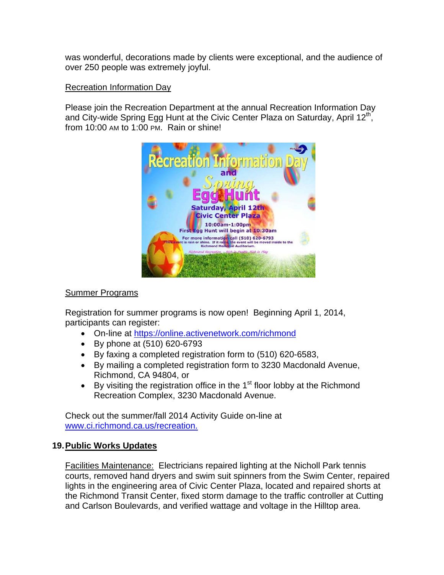was wonderful, decorations made by clients were exceptional, and the audience of over 250 people was extremely joyful.

#### Recreation Information Day

Please join the Recreation Department at the annual Recreation Information Day and City-wide Spring Egg Hunt at the Civic Center Plaza on Saturday, April 12<sup>th</sup>, from 10:00 AM to 1:00 PM. Rain or shine!



#### Summer Programs

Registration for summer programs is now open! Beginning April 1, 2014, participants can register:

- On-line at https://online.activenetwork.com/richmond
- By phone at (510) 620-6793
- By faxing a completed registration form to (510) 620-6583,
- By mailing a completed registration form to 3230 Macdonald Avenue, Richmond, CA 94804, or
- By visiting the registration office in the  $1<sup>st</sup>$  floor lobby at the Richmond Recreation Complex, 3230 Macdonald Avenue.

Check out the summer/fall 2014 Activity Guide on-line at www.ci.richmond.ca.us/recreation.

## **19. Public Works Updates**

Facilities Maintenance: Electricians repaired lighting at the Nicholl Park tennis courts, removed hand dryers and swim suit spinners from the Swim Center, repaired lights in the engineering area of Civic Center Plaza, located and repaired shorts at the Richmond Transit Center, fixed storm damage to the traffic controller at Cutting and Carlson Boulevards, and verified wattage and voltage in the Hilltop area.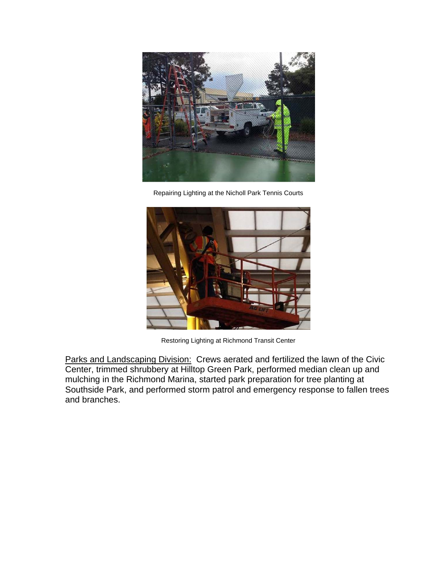

Repairing Lighting at the Nicholl Park Tennis Courts



Restoring Lighting at Richmond Transit Center

Parks and Landscaping Division: Crews aerated and fertilized the lawn of the Civic Center, trimmed shrubbery at Hilltop Green Park, performed median clean up and mulching in the Richmond Marina, started park preparation for tree planting at Southside Park, and performed storm patrol and emergency response to fallen trees and branches.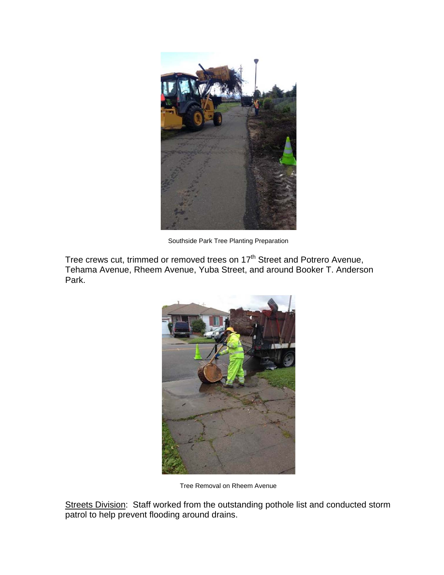

Southside Park Tree Planting Preparation

Tree crews cut, trimmed or removed trees on 17<sup>th</sup> Street and Potrero Avenue, Tehama Avenue, Rheem Avenue, Yuba Street, and around Booker T. Anderson Park.



Tree Removal on Rheem Avenue

Streets Division: Staff worked from the outstanding pothole list and conducted storm patrol to help prevent flooding around drains.